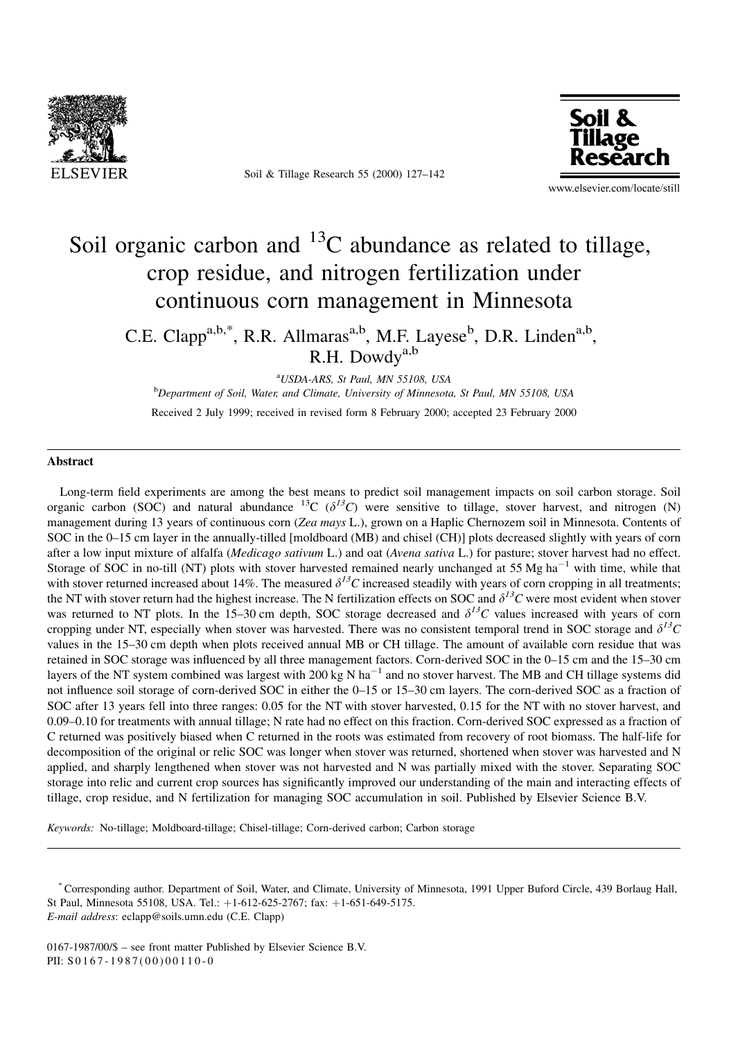

Soil & Tillage Research 55 (2000) 127-142



www.elsevier.com/locate/still

# Soil organic carbon and  $^{13}$ C abundance as related to tillage, crop residue, and nitrogen fertilization under continuous corn management in Minnesota

C.E. Clapp<sup>a,b,\*</sup>, R.R. Allmaras<sup>a,b</sup>, M.F. Layese<sup>b</sup>, D.R. Linden<sup>a,b</sup>, R.H. Dowdy<sup>a,b</sup>

a USDA-ARS, St Paul, MN 55108, USA

**b** Department of Soil, Water, and Climate, University of Minnesota, St Paul, MN 55108, USA

Received 2 July 1999; received in revised form 8 February 2000; accepted 23 February 2000

### Abstract

Long-term field experiments are among the best means to predict soil management impacts on soil carbon storage. Soil organic carbon (SOC) and natural abundance  $^{13}C$  ( $\delta^{13}C$ ) were sensitive to tillage, stover harvest, and nitrogen (N) management during 13 years of continuous corn (Zea mays L.), grown on a Haplic Chernozem soil in Minnesota. Contents of SOC in the 0-15 cm layer in the annually-tilled [moldboard (MB) and chisel (CH)] plots decreased slightly with years of corn after a low input mixture of alfalfa (Medicago sativum L.) and oat (Avena sativa L.) for pasture; stover harvest had no effect. Storage of SOC in no-till (NT) plots with stover harvested remained nearly unchanged at 55 Mg ha $^{-1}$  with time, while that with stover returned increased about 14%. The measured  $\delta^{13}C$  increased steadily with years of corn cropping in all treatments; the NT with stover return had the highest increase. The N fertilization effects on SOC and  $\delta^{13}C$  were most evident when stover was returned to NT plots. In the 15-30 cm depth, SOC storage decreased and  $\delta^{13}C$  values increased with years of corn cropping under NT, especially when stover was harvested. There was no consistent temporal trend in SOC storage and  $\delta^{13}C$ values in the 15-30 cm depth when plots received annual MB or CH tillage. The amount of available corn residue that was retained in SOC storage was influenced by all three management factors. Corn-derived SOC in the  $0-15$  cm and the  $15-30$  cm layers of the NT system combined was largest with 200 kg N  $ha^{-1}$  and no stover harvest. The MB and CH tillage systems did not influence soil storage of corn-derived SOC in either the 0-15 or 15-30 cm layers. The corn-derived SOC as a fraction of SOC after 13 years fell into three ranges: 0.05 for the NT with stover harvested, 0.15 for the NT with no stover harvest, and 0.09–0.10 for treatments with annual tillage; N rate had no effect on this fraction. Corn-derived SOC expressed as a fraction of C returned was positively biased when C returned in the roots was estimated from recovery of root biomass. The half-life for decomposition of the original or relic SOC was longer when stover was returned, shortened when stover was harvested and N applied, and sharply lengthened when stover was not harvested and N was partially mixed with the stover. Separating SOC storage into relic and current crop sources has significantly improved our understanding of the main and interacting effects of tillage, crop residue, and N fertilization for managing SOC accumulation in soil. Published by Elsevier Science B.V.

Keywords: No-tillage; Moldboard-tillage; Chisel-tillage; Corn-derived carbon; Carbon storage

<sup>\*</sup>Corresponding author. Department of Soil, Water, and Climate, University of Minnesota, 1991 Upper Buford Circle, 439 Borlaug Hall, St Paul, Minnesota 55108, USA. Tel.: +1-612-625-2767; fax: +1-651-649-5175. E-mail address: eclapp@soils.umn.edu (C.E. Clapp)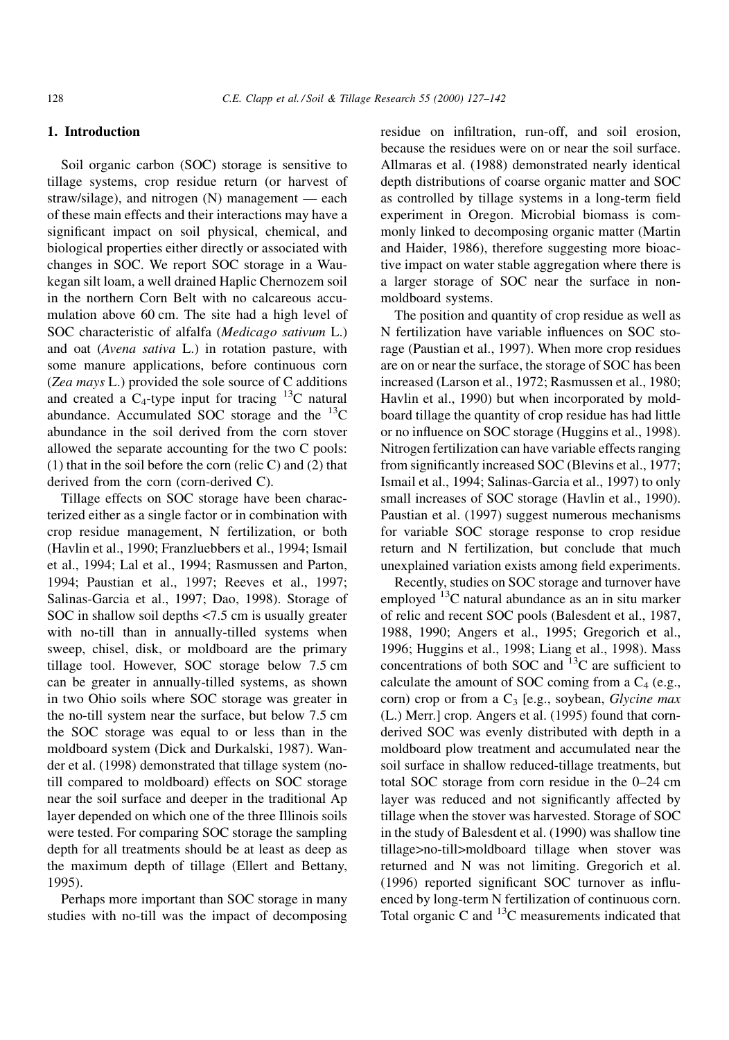# 1. Introduction

Soil organic carbon (SOC) storage is sensitive to tillage systems, crop residue return (or harvest of straw/silage), and nitrogen  $(N)$  management  $-$  each of these main effects and their interactions may have a significant impact on soil physical, chemical, and biological properties either directly or associated with changes in SOC. We report SOC storage in a Waukegan silt loam, a well drained Haplic Chernozem soil in the northern Corn Belt with no calcareous accumulation above 60 cm. The site had a high level of SOC characteristic of alfalfa (Medicago sativum L.) and oat (Avena sativa L.) in rotation pasture, with some manure applications, before continuous corn (Zea mays L.) provided the sole source of C additions and created a  $C_4$ -type input for tracing <sup>13</sup>C natural abundance. Accumulated SOC storage and the  ${}^{13}C$ abundance in the soil derived from the corn stover allowed the separate accounting for the two C pools: (1) that in the soil before the corn (relic C) and (2) that derived from the corn (corn-derived C).

Tillage effects on SOC storage have been characterized either as a single factor or in combination with crop residue management, N fertilization, or both (Havlin et al., 1990; Franzluebbers et al., 1994; Ismail et al., 1994; Lal et al., 1994; Rasmussen and Parton, 1994; Paustian et al., 1997; Reeves et al., 1997; Salinas-Garcia et al., 1997; Dao, 1998). Storage of SOC in shallow soil depths <7.5 cm is usually greater with no-till than in annually-tilled systems when sweep, chisel, disk, or moldboard are the primary tillage tool. However, SOC storage below 7.5 cm can be greater in annually-tilled systems, as shown in two Ohio soils where SOC storage was greater in the no-till system near the surface, but below 7.5 cm the SOC storage was equal to or less than in the moldboard system (Dick and Durkalski, 1987). Wander et al. (1998) demonstrated that tillage system (notill compared to moldboard) effects on SOC storage near the soil surface and deeper in the traditional Ap layer depended on which one of the three Illinois soils were tested. For comparing SOC storage the sampling depth for all treatments should be at least as deep as the maximum depth of tillage (Ellert and Bettany, 1995).

Perhaps more important than SOC storage in many studies with no-till was the impact of decomposing residue on infiltration, run-off, and soil erosion, because the residues were on or near the soil surface. Allmaras et al. (1988) demonstrated nearly identical depth distributions of coarse organic matter and SOC as controlled by tillage systems in a long-term field experiment in Oregon. Microbial biomass is commonly linked to decomposing organic matter (Martin and Haider, 1986), therefore suggesting more bioactive impact on water stable aggregation where there is a larger storage of SOC near the surface in nonmoldboard systems.

The position and quantity of crop residue as well as N fertilization have variable influences on SOC storage (Paustian et al., 1997). When more crop residues are on or near the surface, the storage of SOC has been increased (Larson et al., 1972; Rasmussen et al., 1980; Havlin et al., 1990) but when incorporated by moldboard tillage the quantity of crop residue has had little or no influence on SOC storage (Huggins et al., 1998). Nitrogen fertilization can have variable effects ranging from significantly increased SOC (Blevins et al., 1977; Ismail et al., 1994; Salinas-Garcia et al., 1997) to only small increases of SOC storage (Havlin et al., 1990). Paustian et al. (1997) suggest numerous mechanisms for variable SOC storage response to crop residue return and N fertilization, but conclude that much unexplained variation exists among field experiments.

Recently, studies on SOC storage and turnover have employed  $^{13}$ C natural abundance as an in situ marker of relic and recent SOC pools (Balesdent et al., 1987, 1988, 1990; Angers et al., 1995; Gregorich et al., 1996; Huggins et al., 1998; Liang et al., 1998). Mass concentrations of both SOC and  $^{13}$ C are sufficient to calculate the amount of SOC coming from a  $C_4$  (e.g., corn) crop or from a  $C_3$  [e.g., soybean, *Glycine max* (L.) Merr.] crop. Angers et al. (1995) found that cornderived SOC was evenly distributed with depth in a moldboard plow treatment and accumulated near the soil surface in shallow reduced-tillage treatments, but total SOC storage from corn residue in the 0–24 cm layer was reduced and not significantly affected by tillage when the stover was harvested. Storage of SOC in the study of Balesdent et al. (1990) was shallow tine tillage>no-till>moldboard tillage when stover was returned and N was not limiting. Gregorich et al.  $(1996)$  reported significant SOC turnover as influenced by long-term N fertilization of continuous corn. Total organic  $C$  and  $^{13}C$  measurements indicated that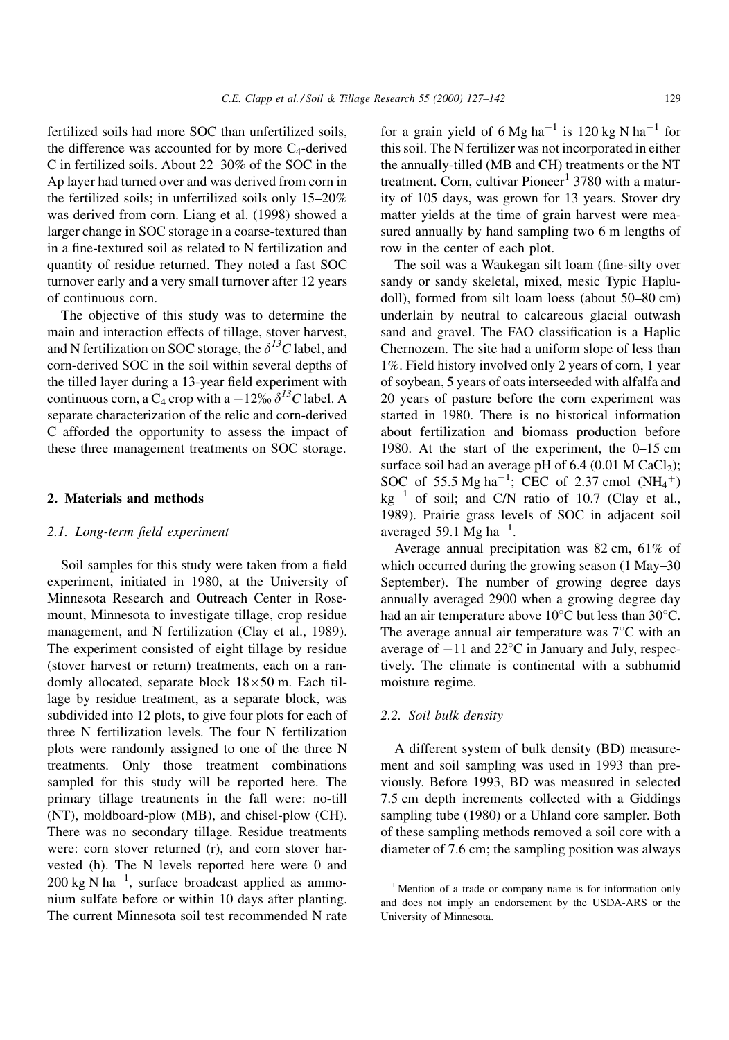fertilized soils had more SOC than unfertilized soils, the difference was accounted for by more  $C_4$ -derived C in fertilized soils. About  $22-30\%$  of the SOC in the Ap layer had turned over and was derived from corn in the fertilized soils; in unfertilized soils only  $15-20%$ was derived from corn. Liang et al. (1998) showed a larger change in SOC storage in a coarse-textured than in a fine-textured soil as related to N fertilization and quantity of residue returned. They noted a fast SOC turnover early and a very small turnover after 12 years of continuous corn.

The objective of this study was to determine the main and interaction effects of tillage, stover harvest, and N fertilization on SOC storage, the  $\delta^{13}C$  label, and corn-derived SOC in the soil within several depths of the tilled layer during a 13-year field experiment with continuous corn, a  $C_4$  crop with a  $-12\%$   $\delta^{13}C$  label. A separate characterization of the relic and corn-derived C afforded the opportunity to assess the impact of these three management treatments on SOC storage.

### 2. Materials and methods

### 2.1. Long-term field experiment

Soil samples for this study were taken from a field experiment, initiated in 1980, at the University of Minnesota Research and Outreach Center in Rosemount, Minnesota to investigate tillage, crop residue management, and N fertilization (Clay et al., 1989). The experiment consisted of eight tillage by residue (stover harvest or return) treatments, each on a randomly allocated, separate block 18-50 m. Each tillage by residue treatment, as a separate block, was subdivided into 12 plots, to give four plots for each of three N fertilization levels. The four N fertilization plots were randomly assigned to one of the three N treatments. Only those treatment combinations sampled for this study will be reported here. The primary tillage treatments in the fall were: no-till (NT), moldboard-plow (MB), and chisel-plow (CH). There was no secondary tillage. Residue treatments were: corn stover returned (r), and corn stover harvested (h). The N levels reported here were 0 and  $200 \text{ kg N} \text{ ha}^{-1}$ , surface broadcast applied as ammonium sulfate before or within 10 days after planting. The current Minnesota soil test recommended N rate

for a grain yield of 6 Mg ha<sup>-1</sup> is 120 kg N ha<sup>-1</sup> for this soil. The N fertilizer was not incorporated in either the annually-tilled (MB and CH) treatments or the NT treatment. Corn, cultivar Pioneer<sup>1</sup> 3780 with a maturity of 105 days, was grown for 13 years. Stover dry matter yields at the time of grain harvest were measured annually by hand sampling two 6 m lengths of row in the center of each plot.

The soil was a Waukegan silt loam (fine-silty over sandy or sandy skeletal, mixed, mesic Typic Hapludoll), formed from silt loam loess (about 50–80 cm) underlain by neutral to calcareous glacial outwash sand and gravel. The FAO classification is a Haplic Chernozem. The site had a uniform slope of less than 1%. Field history involved only 2 years of corn, 1 year of soybean, 5 years of oats interseeded with alfalfa and 20 years of pasture before the corn experiment was started in 1980. There is no historical information about fertilization and biomass production before 1980. At the start of the experiment, the  $0-15$  cm surface soil had an average pH of  $6.4$  (0.01 M CaCl<sub>2</sub>); SOC of 55.5 Mg ha<sup>-1</sup>; CEC of 2.37 cmol  $(NH_4^+)$  $kg^{-1}$  of soil; and C/N ratio of 10.7 (Clay et al., 1989). Prairie grass levels of SOC in adjacent soil averaged 59.1  $\text{Mg}$  ha<sup>-1</sup>.

Average annual precipitation was 82 cm, 61% of which occurred during the growing season  $(1$  May $-30$ September). The number of growing degree days annually averaged 2900 when a growing degree day had an air temperature above  $10^{\circ}$ C but less than 30 $^{\circ}$ C. The average annual air temperature was  $7^{\circ}$ C with an average of  $-11$  and  $22^{\circ}$ C in January and July, respectively. The climate is continental with a subhumid moisture regime.

### 2.2. Soil bulk density

A different system of bulk density (BD) measurement and soil sampling was used in 1993 than previously. Before 1993, BD was measured in selected 7.5 cm depth increments collected with a Giddings sampling tube (1980) or a Uhland core sampler. Both of these sampling methods removed a soil core with a diameter of 7.6 cm; the sampling position was always

<sup>&</sup>lt;sup>1</sup> Mention of a trade or company name is for information only and does not imply an endorsement by the USDA-ARS or the University of Minnesota.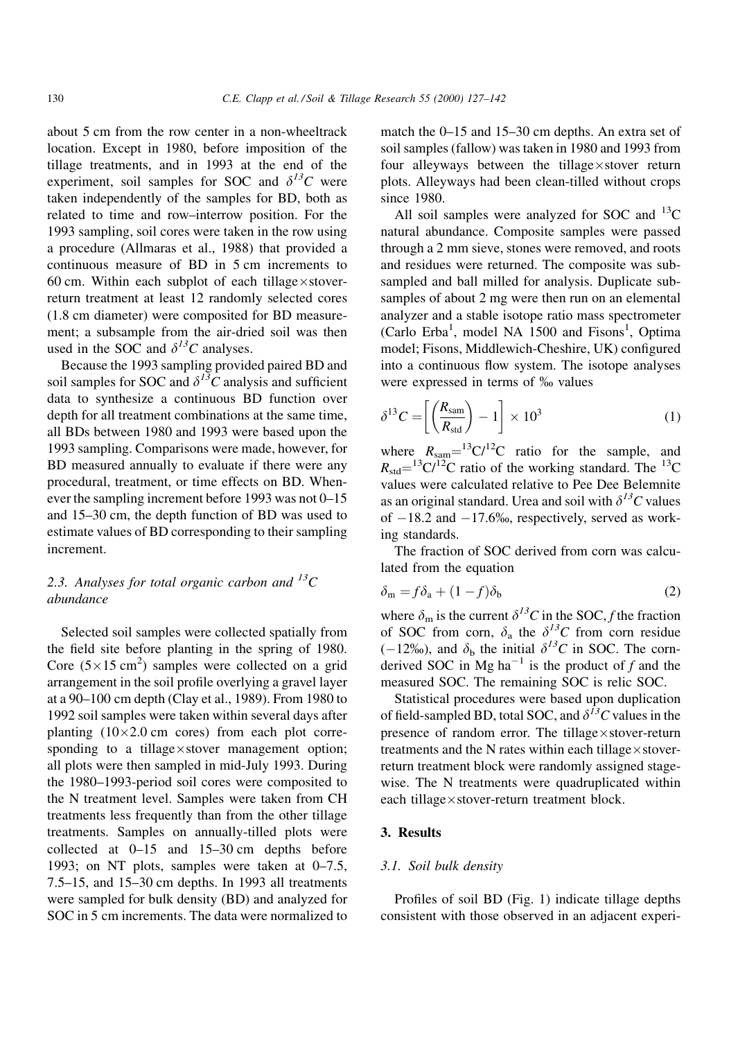about 5 cm from the row center in a non-wheeltrack location. Except in 1980, before imposition of the tillage treatments, and in 1993 at the end of the experiment, soil samples for SOC and  $\delta^{13}C$  were taken independently of the samples for BD, both as related to time and row-interrow position. For the 1993 sampling, soil cores were taken in the row using a procedure (Allmaras et al., 1988) that provided a continuous measure of BD in 5 cm increments to  $60$  cm. Within each subplot of each tillage $\times$ stoverreturn treatment at least 12 randomly selected cores (1.8 cm diameter) were composited for BD measurement; a subsample from the air-dried soil was then used in the SOC and  $\delta^{13}C$  analyses.

Because the 1993 sampling provided paired BD and soil samples for SOC and  $\delta^{13}\overline{C}$  analysis and sufficient data to synthesize a continuous BD function over depth for all treatment combinations at the same time, all BDs between 1980 and 1993 were based upon the 1993 sampling. Comparisons were made, however, for BD measured annually to evaluate if there were any procedural, treatment, or time effects on BD. Whenever the sampling increment before 1993 was not  $0-15$ and 15–30 cm, the depth function of BD was used to estimate values of BD corresponding to their sampling increment.

# 2.3. Analyses for total organic carbon and  $^{13}C$ abundance

Selected soil samples were collected spatially from the field site before planting in the spring of 1980. Core  $(5 \times 15 \text{ cm}^2)$  samples were collected on a grid arrangement in the soil profile overlying a gravel layer at a 90-100 cm depth (Clay et al., 1989). From 1980 to 1992 soil samples were taken within several days after planting  $(10\times2.0 \text{ cm} \text{ cores})$  from each plot corresponding to a tillage×stover management option; all plots were then sampled in mid-July 1993. During the 1980–1993-period soil cores were composited to the N treatment level. Samples were taken from CH treatments less frequently than from the other tillage treatments. Samples on annually-tilled plots were collected at  $0-15$  and  $15-30$  cm depths before 1993; on NT plots, samples were taken at  $0-7.5$ ,  $7.5-15$ , and  $15-30$  cm depths. In 1993 all treatments were sampled for bulk density (BD) and analyzed for SOC in 5 cm increments. The data were normalized to

match the  $0-15$  and  $15-30$  cm depths. An extra set of soil samples (fallow) was taken in 1980 and 1993 from four alleyways between the tillage×stover return plots. Alleyways had been clean-tilled without crops since 1980.

All soil samples were analyzed for SOC and  $^{13}$ C natural abundance. Composite samples were passed through a 2 mm sieve, stones were removed, and roots and residues were returned. The composite was subsampled and ball milled for analysis. Duplicate subsamples of about 2 mg were then run on an elemental analyzer and a stable isotope ratio mass spectrometer (Carlo Erba<sup>1</sup>, model NA 1500 and Fisons<sup>1</sup>, Optima model; Fisons, Middlewich-Cheshire, UK) configured into a continuous flow system. The isotope analyses were expressed in terms of  $\%$  values

$$
\delta^{13}C = \left[ \left( \frac{R_{\text{sam}}}{R_{\text{std}}} \right) - 1 \right] \times 10^3 \tag{1}
$$

where  $R_{\text{sam}} = {}^{13}C/{}^{12}C$  ratio for the sample, and  $R_{\text{std}} = {}^{13}C/{}^{12}C$  ratio of the working standard. The  ${}^{13}C$ values were calculated relative to Pee Dee Belemnite as an original standard. Urea and soil with  $\delta^{13}C$  values of  $-18.2$  and  $-17.6\%$ , respectively, served as working standards.

The fraction of SOC derived from corn was calculated from the equation

$$
\delta_{\rm m} = f \delta_{\rm a} + (1 - f) \delta_{\rm b} \tag{2}
$$

where  $\delta_{\rm m}$  is the current  $\delta^{13}C$  in the SOC, f the fraction of SOC from corn,  $\delta_a$  the  $\delta^{13}$ C from corn residue  $(-12\%)$ , and  $\delta_b$  the initial  $\delta^{13}C$  in SOC. The cornderived SOC in Mg ha<sup>-1</sup> is the product of f and the measured SOC. The remaining SOC is relic SOC.

Statistical procedures were based upon duplication of field-sampled BD, total SOC, and  $\delta^{13}C$  values in the presence of random error. The tillage×stover-return treatments and the N rates within each tillage $\times$ stoverreturn treatment block were randomly assigned stagewise. The N treatments were quadruplicated within each tillage×stover-return treatment block.

## 3. Results

## 3.1. Soil bulk density

Profiles of soil BD (Fig. 1) indicate tillage depths consistent with those observed in an adjacent experi-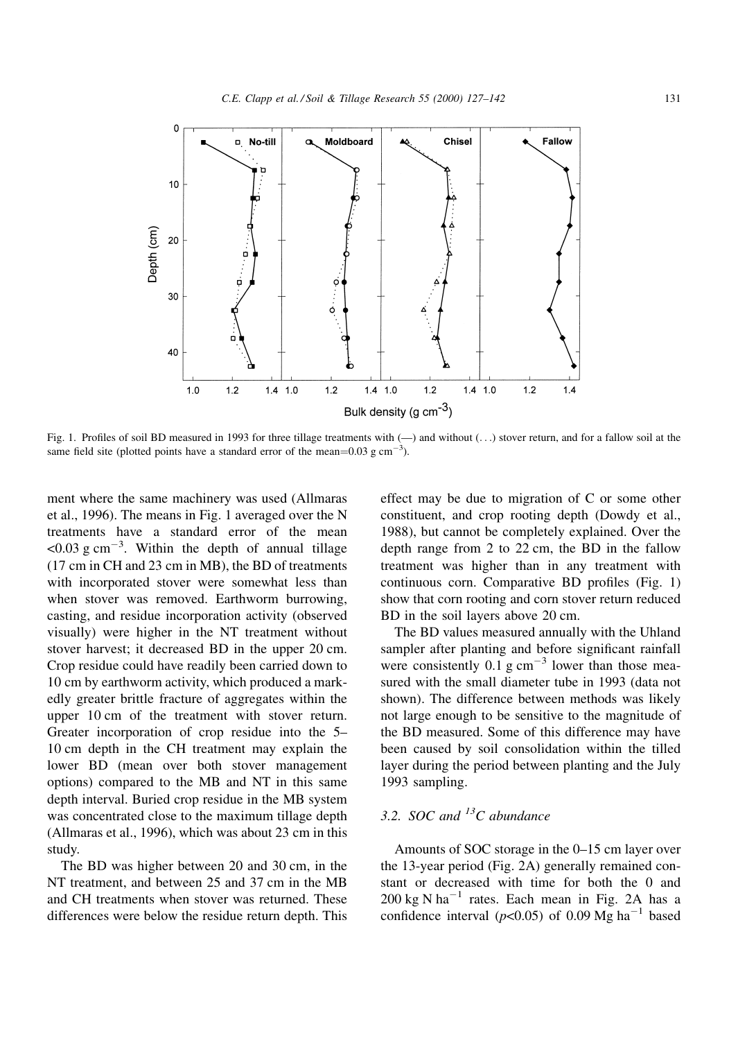

Fig. 1. Profiles of soil BD measured in 1993 for three tillage treatments with  $(-)$  and without  $(\ldots)$  stover return, and for a fallow soil at the same field site (plotted points have a standard error of the mean= $0.03$  g cm<sup>-3</sup>).

ment where the same machinery was used (Allmaras et al., 1996). The means in Fig. 1 averaged over the N treatments have a standard error of the mean  $<$ 0.03 g cm<sup> $-3$ </sup>. Within the depth of annual tillage (17 cm in CH and 23 cm in MB), the BD of treatments with incorporated stover were somewhat less than when stover was removed. Earthworm burrowing, casting, and residue incorporation activity (observed visually) were higher in the NT treatment without stover harvest; it decreased BD in the upper 20 cm. Crop residue could have readily been carried down to 10 cm by earthworm activity, which produced a markedly greater brittle fracture of aggregates within the upper 10 cm of the treatment with stover return. Greater incorporation of crop residue into the 5-10 cm depth in the CH treatment may explain the lower BD (mean over both stover management options) compared to the MB and NT in this same depth interval. Buried crop residue in the MB system was concentrated close to the maximum tillage depth (Allmaras et al., 1996), which was about 23 cm in this study.

The BD was higher between 20 and 30 cm, in the NT treatment, and between 25 and 37 cm in the MB and CH treatments when stover was returned. These differences were below the residue return depth. This effect may be due to migration of C or some other constituent, and crop rooting depth (Dowdy et al., 1988), but cannot be completely explained. Over the depth range from 2 to 22 cm, the BD in the fallow treatment was higher than in any treatment with  $continuous$  continuous corn. Comparative BD profiles (Fig. 1) show that corn rooting and corn stover return reduced BD in the soil layers above 20 cm.

The BD values measured annually with the Uhland sampler after planting and before significant rainfall were consistently  $0.1$  g cm<sup>-3</sup> lower than those measured with the small diameter tube in 1993 (data not shown). The difference between methods was likely not large enough to be sensitive to the magnitude of the BD measured. Some of this difference may have been caused by soil consolidation within the tilled layer during the period between planting and the July 1993 sampling.

# 3.2. SOC and  $^{13}C$  abundance

Amounts of SOC storage in the  $0-15$  cm layer over the 13-year period (Fig. 2A) generally remained constant or decreased with time for both the 0 and  $200 \text{ kg N} \text{ ha}^{-1}$  rates. Each mean in Fig. 2A has a confidence interval ( $p<0.05$ ) of 0.09 Mg ha<sup>-1</sup> based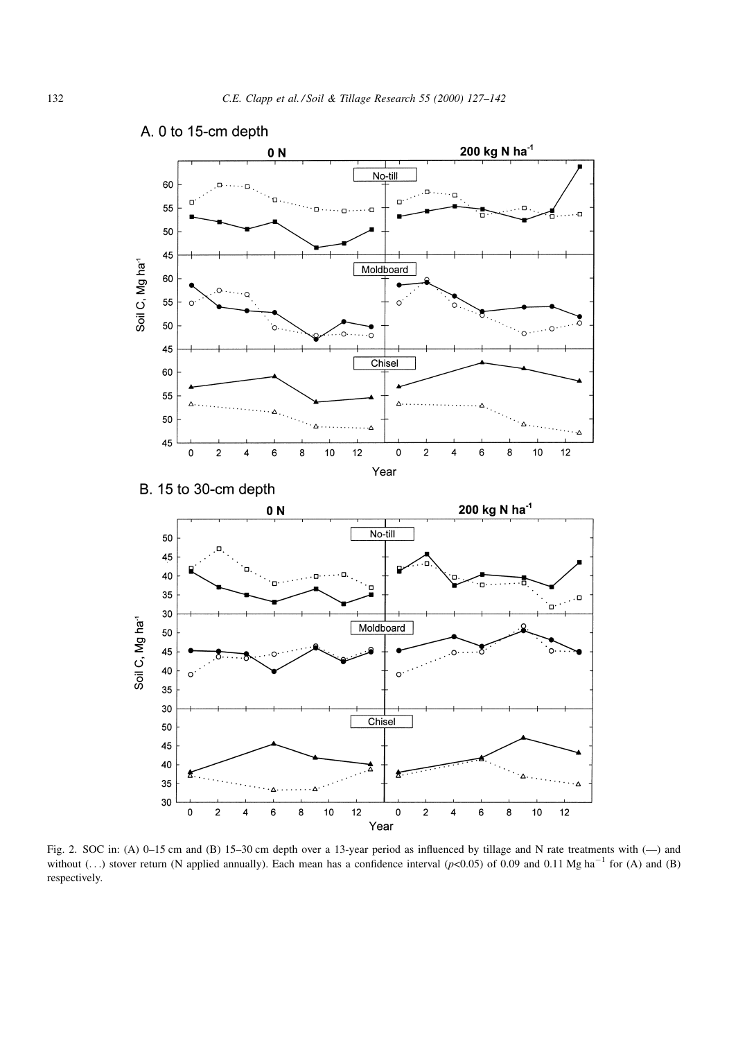

Fig. 2. SOC in: (A) 0-15 cm and (B) 15-30 cm depth over a 13-year period as influenced by tillage and N rate treatments with  $(-)$  and without  $(\ldots)$  stover return (N applied annually). Each mean has a confidence interval (p<0.05) of 0.09 and 0.11 Mg ha<sup>-1</sup> for (A) and (B) respectively.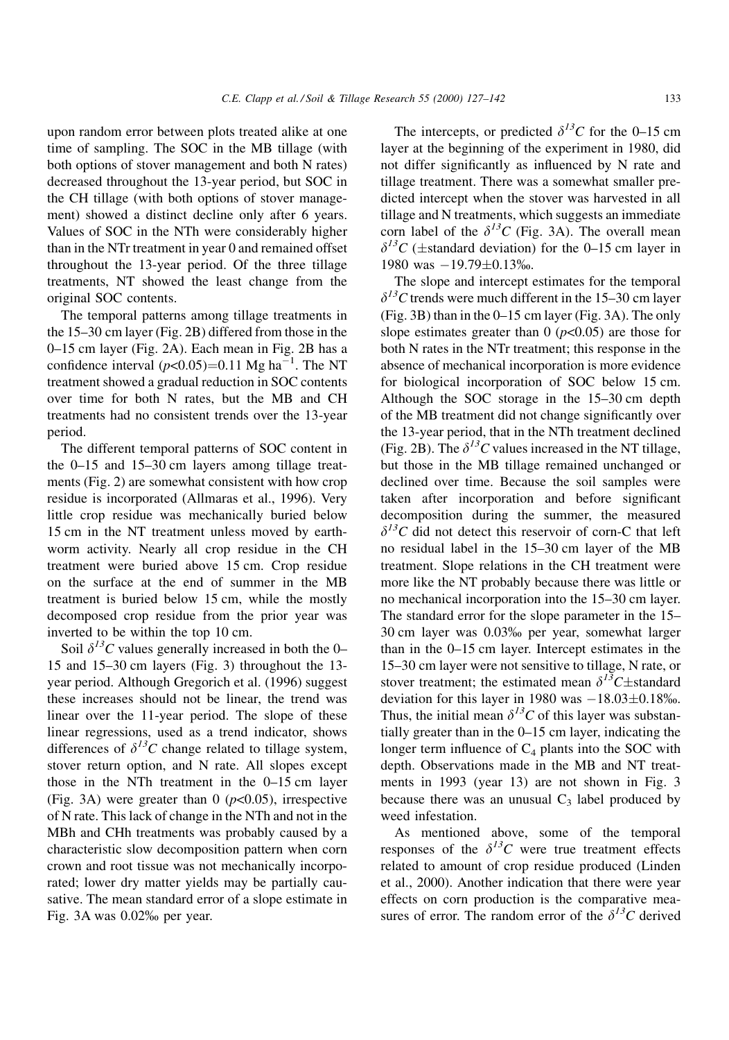upon random error between plots treated alike at one time of sampling. The SOC in the MB tillage (with both options of stover management and both N rates) decreased throughout the 13-year period, but SOC in the CH tillage (with both options of stover management) showed a distinct decline only after 6 years. Values of SOC in the NTh were considerably higher than in the NTr treatment in year 0 and remained offset throughout the 13-year period. Of the three tillage treatments, NT showed the least change from the original SOC contents.

The temporal patterns among tillage treatments in the  $15-30$  cm layer (Fig. 2B) differed from those in the 0±15 cm layer (Fig. 2A). Each mean in Fig. 2B has a confidence interval  $(p<0.05)=0.11$  Mg ha<sup>-1</sup>. The NT treatment showed a gradual reduction in SOC contents over time for both N rates, but the MB and CH treatments had no consistent trends over the 13-year period.

The different temporal patterns of SOC content in the  $0-15$  and  $15-30$  cm layers among tillage treatments (Fig. 2) are somewhat consistent with how crop residue is incorporated (Allmaras et al., 1996). Very little crop residue was mechanically buried below 15 cm in the NT treatment unless moved by earthworm activity. Nearly all crop residue in the CH treatment were buried above 15 cm. Crop residue on the surface at the end of summer in the MB treatment is buried below 15 cm, while the mostly decomposed crop residue from the prior year was inverted to be within the top 10 cm.

Soil  $\delta^{13}C$  values generally increased in both the 0-15 and  $15-30$  cm layers (Fig. 3) throughout the 13year period. Although Gregorich et al. (1996) suggest these increases should not be linear, the trend was linear over the 11-year period. The slope of these linear regressions, used as a trend indicator, shows differences of  $\delta^{13}C$  change related to tillage system, stover return option, and N rate. All slopes except those in the NTh treatment in the  $0-15$  cm layer (Fig. 3A) were greater than 0 ( $p<0.05$ ), irrespective of N rate. This lack of change in the NTh and not in the MBh and CHh treatments was probably caused by a characteristic slow decomposition pattern when corn crown and root tissue was not mechanically incorporated; lower dry matter yields may be partially causative. The mean standard error of a slope estimate in Fig. 3A was 0.02% per year.

The intercepts, or predicted  $\delta^{13}C$  for the 0–15 cm layer at the beginning of the experiment in 1980, did not differ significantly as influenced by N rate and tillage treatment. There was a somewhat smaller predicted intercept when the stover was harvested in all tillage and N treatments, which suggests an immediate corn label of the  $\delta^{13}C$  (Fig. 3A). The overall mean  $\delta^{13}C$  ( $\pm$ standard deviation) for the 0–15 cm layer in 1980 was  $-19.79\pm0.13%$ .

The slope and intercept estimates for the temporal  $\delta^{13}$ C trends were much different in the 15–30 cm layer  $(Fig. 3B)$  than in the  $0-15$  cm layer (Fig. 3A). The only slope estimates greater than  $0$  ( $p<0.05$ ) are those for both N rates in the NTr treatment; this response in the absence of mechanical incorporation is more evidence for biological incorporation of SOC below 15 cm. Although the SOC storage in the  $15-30$  cm depth of the MB treatment did not change significantly over the 13-year period, that in the NTh treatment declined (Fig. 2B). The  $\delta^{13}C$  values increased in the NT tillage, but those in the MB tillage remained unchanged or declined over time. Because the soil samples were taken after incorporation and before significant decomposition during the summer, the measured  $\delta^{13}$ C did not detect this reservoir of corn-C that left no residual label in the 15-30 cm layer of the MB treatment. Slope relations in the CH treatment were more like the NT probably because there was little or no mechanical incorporation into the 15–30 cm layer. The standard error for the slope parameter in the 15 $-$ 30 cm layer was 0.03% per year, somewhat larger than in the  $0-15$  cm layer. Intercept estimates in the 15–30 cm layer were not sensitive to tillage, N rate, or stover treatment; the estimated mean  $\delta^{13}C\pm$ standard deviation for this layer in 1980 was  $-18.03\pm0.18\%$ . Thus, the initial mean  $\delta^{13}C$  of this layer was substantially greater than in the  $0-15$  cm layer, indicating the longer term influence of  $C_4$  plants into the SOC with depth. Observations made in the MB and NT treatments in 1993 (year 13) are not shown in Fig. 3 because there was an unusual  $C_3$  label produced by weed infestation.

As mentioned above, some of the temporal responses of the  $\delta^{13}C$  were true treatment effects related to amount of crop residue produced (Linden et al., 2000). Another indication that there were year effects on corn production is the comparative measures of error. The random error of the  $\delta^{13}C$  derived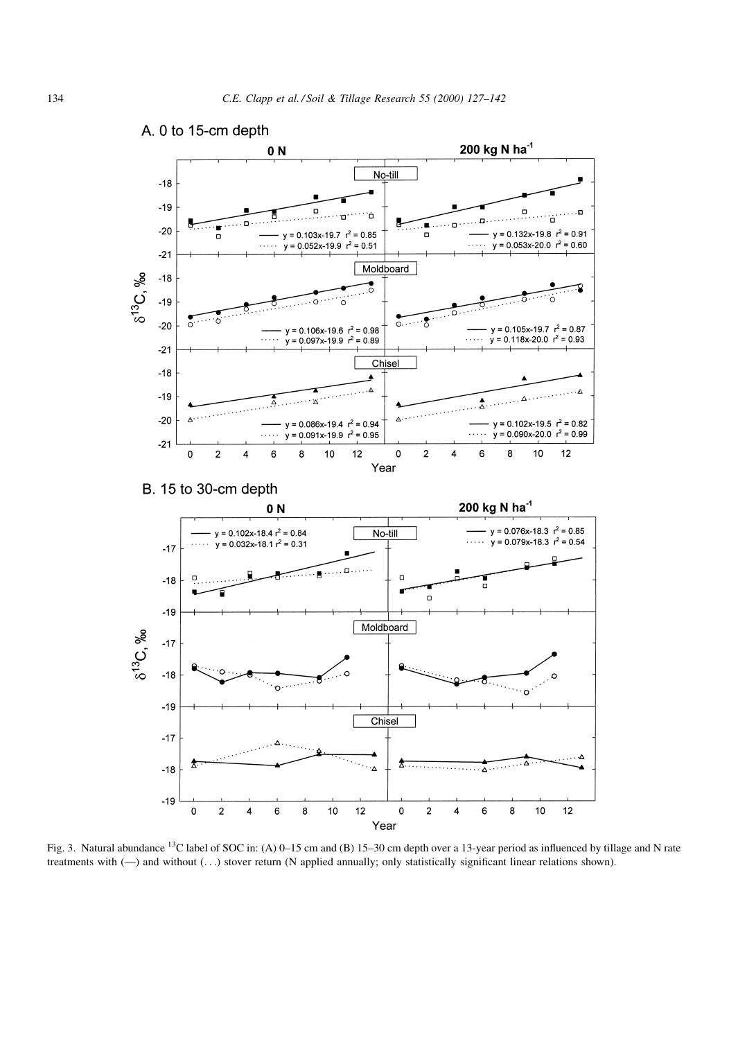

Fig. 3. Natural abundance <sup>13</sup>C label of SOC in: (A) 0–15 cm and (B) 15–30 cm depth over a 13-year period as influenced by tillage and N rate treatments with  $(-)$  and without  $(...)$  stover return (N applied annually; only statistically significant linear relations shown).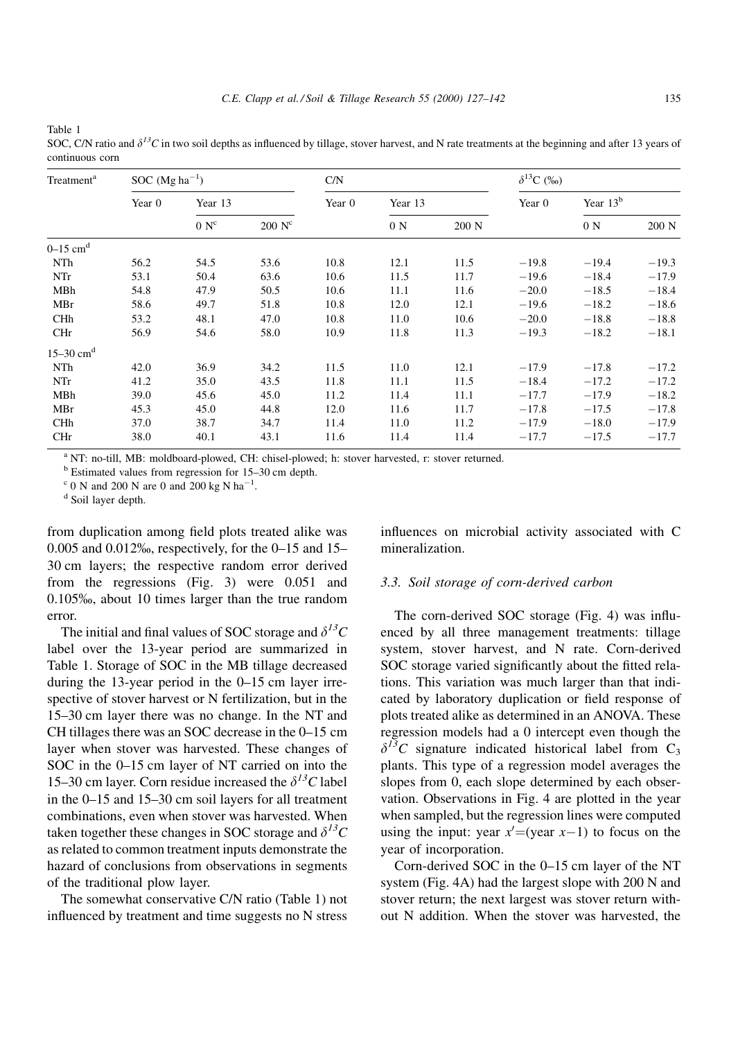Table 1

SOC, C/N ratio and  $\delta^{13}C$  in two soil depths as influenced by tillage, stover harvest, and N rate treatments at the beginning and after 13 years of continuous corn

| Treatment <sup>a</sup>  | SOC $(Mg ha^{-1})$ |         |                    | C/N    |         |       | $\delta^{13}C~(\%$ <sub>0</sub> ) |            |         |
|-------------------------|--------------------|---------|--------------------|--------|---------|-------|-----------------------------------|------------|---------|
|                         | Year 0             | Year 13 |                    | Year 0 | Year 13 |       | Year 0                            | Year $13b$ |         |
|                         |                    | $0 N^c$ | 200 N <sup>c</sup> |        | 0 N     | 200 N |                                   | 0 N        | 200 N   |
| $0-15$ cm <sup>d</sup>  |                    |         |                    |        |         |       |                                   |            |         |
| NTh                     | 56.2               | 54.5    | 53.6               | 10.8   | 12.1    | 11.5  | $-19.8$                           | $-19.4$    | $-19.3$ |
| NTr                     | 53.1               | 50.4    | 63.6               | 10.6   | 11.5    | 11.7  | $-19.6$                           | $-18.4$    | $-17.9$ |
| MBh                     | 54.8               | 47.9    | 50.5               | 10.6   | 11.1    | 11.6  | $-20.0$                           | $-18.5$    | $-18.4$ |
| MBr                     | 58.6               | 49.7    | 51.8               | 10.8   | 12.0    | 12.1  | $-19.6$                           | $-18.2$    | $-18.6$ |
| <b>CHh</b>              | 53.2               | 48.1    | 47.0               | 10.8   | 11.0    | 10.6  | $-20.0$                           | $-18.8$    | $-18.8$ |
| CHr                     | 56.9               | 54.6    | 58.0               | 10.9   | 11.8    | 11.3  | $-19.3$                           | $-18.2$    | $-18.1$ |
| $15-30$ cm <sup>d</sup> |                    |         |                    |        |         |       |                                   |            |         |
| NTh                     | 42.0               | 36.9    | 34.2               | 11.5   | 11.0    | 12.1  | $-17.9$                           | $-17.8$    | $-17.2$ |
| NTr                     | 41.2               | 35.0    | 43.5               | 11.8   | 11.1    | 11.5  | $-18.4$                           | $-17.2$    | $-17.2$ |
| MBh                     | 39.0               | 45.6    | 45.0               | 11.2   | 11.4    | 11.1  | $-17.7$                           | $-17.9$    | $-18.2$ |
| MBr                     | 45.3               | 45.0    | 44.8               | 12.0   | 11.6    | 11.7  | $-17.8$                           | $-17.5$    | $-17.8$ |
| CHh                     | 37.0               | 38.7    | 34.7               | 11.4   | 11.0    | 11.2  | $-17.9$                           | $-18.0$    | $-17.9$ |
| CHr                     | 38.0               | 40.1    | 43.1               | 11.6   | 11.4    | 11.4  | $-17.7$                           | $-17.5$    | $-17.7$ |

<sup>a</sup> NT: no-till, MB: moldboard-plowed, CH: chisel-plowed; h: stover harvested, r: stover returned.

 $<sup>b</sup>$  Estimated values from regression for 15–30 cm depth.</sup>

 $c$  0 N and 200 N are 0 and 200 kg N ha<sup>-1</sup>.

<sup>d</sup> Soil layer depth.

from duplication among field plots treated alike was 0.005 and 0.012‰, respectively, for the  $0-15$  and 15 $-$ 30 cm layers; the respective random error derived from the regressions (Fig. 3) were 0.051 and 0.105%, about 10 times larger than the true random error.

The initial and final values of SOC storage and  $\delta^{13}C$ label over the 13-year period are summarized in Table 1. Storage of SOC in the MB tillage decreased during the 13-year period in the  $0-15$  cm layer irrespective of stover harvest or N fertilization, but in the 15-30 cm layer there was no change. In the NT and CH tillages there was an SOC decrease in the  $0-15$  cm layer when stover was harvested. These changes of SOC in the 0-15 cm layer of NT carried on into the 15–30 cm layer. Corn residue increased the  $\delta^{13}C$  label in the  $0-15$  and  $15-30$  cm soil layers for all treatment combinations, even when stover was harvested. When taken together these changes in SOC storage and  $\delta^{13}C$ as related to common treatment inputs demonstrate the hazard of conclusions from observations in segments of the traditional plow layer.

The somewhat conservative C/N ratio (Table 1) not influenced by treatment and time suggests no N stress influences on microbial activity associated with C mineralization.

### 3.3. Soil storage of corn-derived carbon

The corn-derived SOC storage (Fig. 4) was influenced by all three management treatments: tillage system, stover harvest, and N rate. Corn-derived SOC storage varied significantly about the fitted relations. This variation was much larger than that indicated by laboratory duplication or field response of plots treated alike as determined in an ANOVA. These regression models had a 0 intercept even though the  $\delta^{13}$ C signature indicated historical label from C<sub>3</sub> plants. This type of a regression model averages the slopes from 0, each slope determined by each observation. Observations in Fig. 4 are plotted in the year when sampled, but the regression lines were computed using the input: year  $x' = (year x - 1)$  to focus on the year of incorporation.

Corn-derived SOC in the  $0-15$  cm layer of the NT system (Fig. 4A) had the largest slope with 200 N and stover return; the next largest was stover return without N addition. When the stover was harvested, the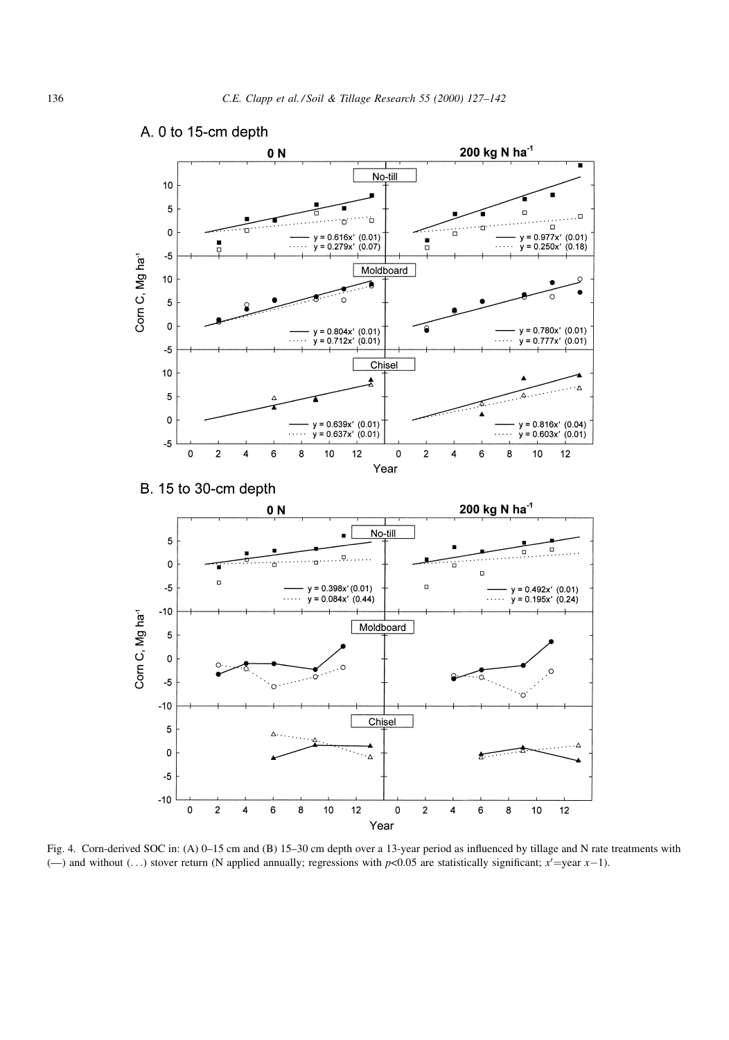

Fig. 4. Corn-derived SOC in: (A) 0-15 cm and (B) 15-30 cm depth over a 13-year period as influenced by tillage and N rate treatments with  $(\rightarrow)$  and without  $(\dots)$  stover return (N applied annually; regressions with  $p<0.05$  are statistically significant;  $x'=$ year  $x-1$ ).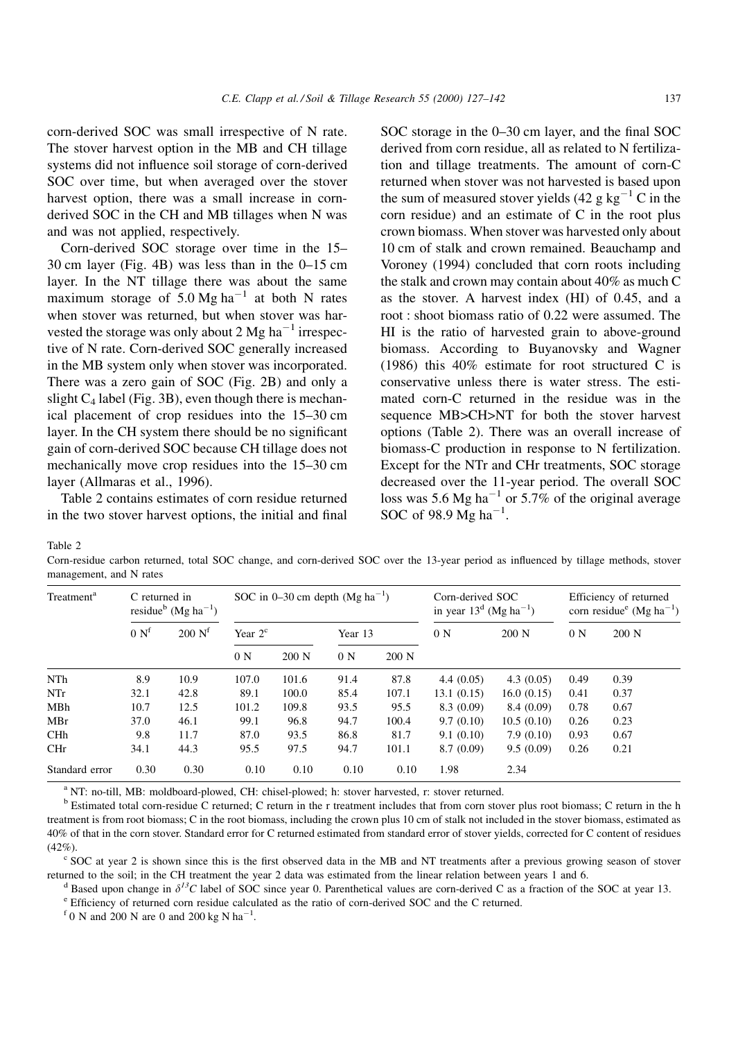corn-derived SOC was small irrespective of N rate. The stover harvest option in the MB and CH tillage systems did not influence soil storage of corn-derived SOC over time, but when averaged over the stover harvest option, there was a small increase in cornderived SOC in the CH and MB tillages when N was and was not applied, respectively.

Corn-derived SOC storage over time in the 15-30 cm layer (Fig. 4B) was less than in the  $0-15$  cm layer. In the NT tillage there was about the same maximum storage of  $5.0$  Mg ha<sup>-1</sup> at both N rates when stover was returned, but when stover was harvested the storage was only about 2 Mg ha<sup> $-1$ </sup> irrespective of N rate. Corn-derived SOC generally increased in the MB system only when stover was incorporated. There was a zero gain of SOC (Fig. 2B) and only a slight  $C_4$  label (Fig. 3B), even though there is mechanical placement of crop residues into the  $15-30$  cm layer. In the CH system there should be no significant gain of corn-derived SOC because CH tillage does not mechanically move crop residues into the 15–30 cm layer (Allmaras et al., 1996).

Table 2 contains estimates of corn residue returned in the two stover harvest options, the initial and final

SOC storage in the 0–30 cm layer, and the final SOC derived from corn residue, all as related to N fertilization and tillage treatments. The amount of corn-C returned when stover was not harvested is based upon the sum of measured stover yields  $(42 \text{ g kg}^{-1} \text{ C in the}$ corn residue) and an estimate of C in the root plus crown biomass. When stover was harvested only about 10 cm of stalk and crown remained. Beauchamp and Voroney (1994) concluded that corn roots including the stalk and crown may contain about 40% as much C as the stover. A harvest index (HI) of 0.45, and a root : shoot biomass ratio of 0.22 were assumed. The HI is the ratio of harvested grain to above-ground biomass. According to Buyanovsky and Wagner (1986) this 40% estimate for root structured C is conservative unless there is water stress. The estimated corn-C returned in the residue was in the sequence MB>CH>NT for both the stover harvest options (Table 2). There was an overall increase of biomass-C production in response to N fertilization. Except for the NTr and CHr treatments, SOC storage decreased over the 11-year period. The overall SOC loss was 5.6 Mg ha<sup>-1</sup> or 5.7% of the original average SOC of 98.9  $\text{Mg}$  ha<sup>-1</sup>.

Table 2

Corn-residue carbon returned, total SOC change, and corn-derived SOC over the 13-year period as influenced by tillage methods, stover management, and N rates

| Treatment <sup>a</sup> | C returned in<br>residue <sup>b</sup> (Mg ha <sup>-1</sup> ) |                    | SOC in 0–30 cm depth $(Mg ha^{-1})$ |       |         |       | Corn-derived SOC<br>in year $13d$ (Mg ha <sup>-1</sup> ) |            | Efficiency of returned<br>corn residue <sup>e</sup> (Mg ha <sup>-1</sup> ) |       |
|------------------------|--------------------------------------------------------------|--------------------|-------------------------------------|-------|---------|-------|----------------------------------------------------------|------------|----------------------------------------------------------------------------|-------|
|                        | $0 N^f$                                                      | 200 N <sup>f</sup> | Year $2^{\circ}$                    |       | Year 13 |       | 0 N                                                      | 200 N      | 0 N                                                                        | 200 N |
|                        |                                                              |                    | 0 N                                 | 200 N | 0 N     | 200 N |                                                          |            |                                                                            |       |
| NTh                    | 8.9                                                          | 10.9               | 107.0                               | 101.6 | 91.4    | 87.8  | 4.4(0.05)                                                | 4.3(0.05)  | 0.49                                                                       | 0.39  |
| NTr                    | 32.1                                                         | 42.8               | 89.1                                | 100.0 | 85.4    | 107.1 | 13.1(0.15)                                               | 16.0(0.15) | 0.41                                                                       | 0.37  |
| MBh                    | 10.7                                                         | 12.5               | 101.2                               | 109.8 | 93.5    | 95.5  | 8.3(0.09)                                                | 8.4(0.09)  | 0.78                                                                       | 0.67  |
| MBr                    | 37.0                                                         | 46.1               | 99.1                                | 96.8  | 94.7    | 100.4 | 9.7(0.10)                                                | 10.5(0.10) | 0.26                                                                       | 0.23  |
| <b>CHh</b>             | 9.8                                                          | 11.7               | 87.0                                | 93.5  | 86.8    | 81.7  | 9.1(0.10)                                                | 7.9(0.10)  | 0.93                                                                       | 0.67  |
| CHr                    | 34.1                                                         | 44.3               | 95.5                                | 97.5  | 94.7    | 101.1 | 8.7(0.09)                                                | 9.5(0.09)  | 0.26                                                                       | 0.21  |
| Standard error         | 0.30                                                         | 0.30               | 0.10                                | 0.10  | 0.10    | 0.10  | 1.98                                                     | 2.34       |                                                                            |       |

<sup>a</sup> NT: no-till, MB: moldboard-plowed, CH: chisel-plowed; h: stover harvested, r: stover returned.

<sup>b</sup> Estimated total corn-residue C returned; C return in the r treatment includes that from corn stover plus root biomass; C return in the h treatment is from root biomass; C in the root biomass, including the crown plus 10 cm of stalk not included in the stover biomass, estimated as 40% of that in the corn stover. Standard error for C returned estimated from standard error of stover yields, corrected for C content of residues (42%).<br><sup>c</sup> SOC at year 2 is shown since this is the first observed data in the MB and NT treatments after a previous growing season of stover

returned to the soil; in the CH treatment the year 2 data was estimated from the linear relation between years 1 and 6.<br>
<sup>d</sup> Based upon change in  $\delta^{13}C$  label of SOC since year 0. Parenthetical values are corn-derived

 $f$  0 N and 200 N are 0 and 200 kg N ha<sup>-1</sup>.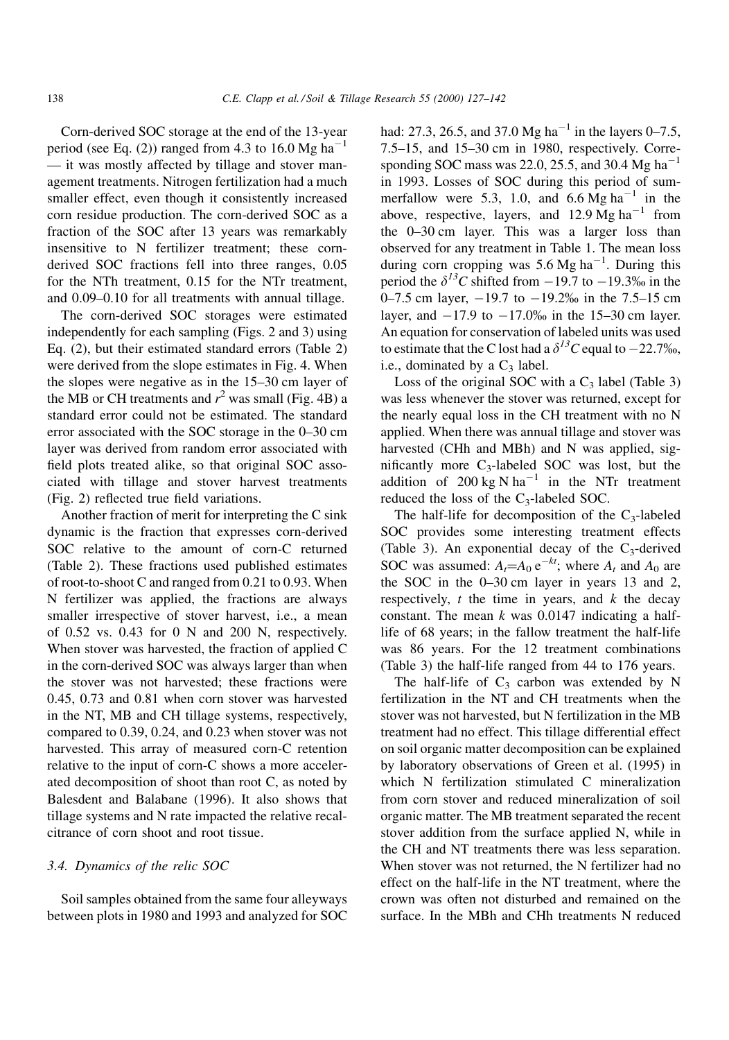Corn-derived SOC storage at the end of the 13-year period (see Eq. (2)) ranged from 4.3 to 16.0 Mg ha<sup>-1</sup>  $-$  it was mostly affected by tillage and stover management treatments. Nitrogen fertilization had a much smaller effect, even though it consistently increased corn residue production. The corn-derived SOC as a fraction of the SOC after 13 years was remarkably insensitive to N fertilizer treatment; these cornderived SOC fractions fell into three ranges, 0.05 for the NTh treatment, 0.15 for the NTr treatment, and 0.09–0.10 for all treatments with annual tillage.

The corn-derived SOC storages were estimated independently for each sampling (Figs. 2 and 3) using Eq. (2), but their estimated standard errors (Table 2) were derived from the slope estimates in Fig. 4. When the slopes were negative as in the  $15-30$  cm layer of the MB or CH treatments and  $r^2$  was small (Fig. 4B) a standard error could not be estimated. The standard error associated with the SOC storage in the 0-30 cm layer was derived from random error associated with field plots treated alike, so that original SOC associated with tillage and stover harvest treatments  $(Fig. 2)$  reflected true field variations.

Another fraction of merit for interpreting the C sink dynamic is the fraction that expresses corn-derived SOC relative to the amount of corn-C returned (Table 2). These fractions used published estimates of root-to-shoot C and ranged from 0.21 to 0.93. When N fertilizer was applied, the fractions are always smaller irrespective of stover harvest, i.e., a mean of 0.52 vs. 0.43 for 0 N and 200 N, respectively. When stover was harvested, the fraction of applied C in the corn-derived SOC was always larger than when the stover was not harvested; these fractions were 0.45, 0.73 and 0.81 when corn stover was harvested in the NT, MB and CH tillage systems, respectively, compared to 0.39, 0.24, and 0.23 when stover was not harvested. This array of measured corn-C retention relative to the input of corn-C shows a more accelerated decomposition of shoot than root C, as noted by Balesdent and Balabane (1996). It also shows that tillage systems and N rate impacted the relative recalcitrance of corn shoot and root tissue.

### 3.4. Dynamics of the relic SOC

Soil samples obtained from the same four alleyways between plots in 1980 and 1993 and analyzed for SOC had: 27.3, 26.5, and 37.0 Mg ha<sup>-1</sup> in the layers 0-7.5,  $7.5-15$ , and  $15-30$  cm in 1980, respectively. Corresponding SOC mass was 22.0, 25.5, and 30.4 Mg ha<sup> $-1$ </sup> in 1993. Losses of SOC during this period of summerfallow were 5.3, 1.0, and 6.6 Mg ha<sup>-1</sup> in the above, respective, layers, and  $12.9 \text{ Mg ha}^{-1}$  from the 0–30 cm layer. This was a larger loss than observed for any treatment in Table 1. The mean loss during corn cropping was 5.6 Mg ha<sup>-1</sup>. During this period the  $\delta^{13}C$  shifted from  $-19.7$  to  $-19.3\%$  in the 0-7.5 cm layer,  $-19.7$  to  $-19.2%$  in the 7.5-15 cm layer, and  $-17.9$  to  $-17.0\%$  in the 15-30 cm layer. An equation for conservation of labeled units was used to estimate that the C lost had a  $\delta^{13}$ C equal to  $-22.7\%$ , i.e., dominated by a  $C_3$  label.

Loss of the original SOC with a  $C_3$  label (Table 3) was less whenever the stover was returned, except for the nearly equal loss in the CH treatment with no N applied. When there was annual tillage and stover was harvested (CHh and MBh) and N was applied, significantly more  $C_3$ -labeled SOC was lost, but the addition of 200 kg N ha<sup>-1</sup> in the NTr treatment reduced the loss of the  $C_3$ -labeled SOC.

The half-life for decomposition of the  $C_3$ -labeled SOC provides some interesting treatment effects (Table 3). An exponential decay of the  $C_3$ -derived SOC was assumed:  $A_t = A_0 e^{-kt}$ ; where  $A_t$  and  $A_0$  are the SOC in the  $0-30$  cm layer in years 13 and 2, respectively,  $t$  the time in years, and  $k$  the decay constant. The mean  $k$  was 0.0147 indicating a halflife of 68 years; in the fallow treatment the half-life was 86 years. For the 12 treatment combinations (Table 3) the half-life ranged from 44 to 176 years.

The half-life of  $C_3$  carbon was extended by N fertilization in the NT and CH treatments when the stover was not harvested, but N fertilization in the MB treatment had no effect. This tillage differential effect on soil organic matter decomposition can be explained by laboratory observations of Green et al. (1995) in which N fertilization stimulated C mineralization from corn stover and reduced mineralization of soil organic matter. The MB treatment separated the recent stover addition from the surface applied N, while in the CH and NT treatments there was less separation. When stover was not returned, the N fertilizer had no effect on the half-life in the NT treatment, where the crown was often not disturbed and remained on the surface. In the MBh and CHh treatments N reduced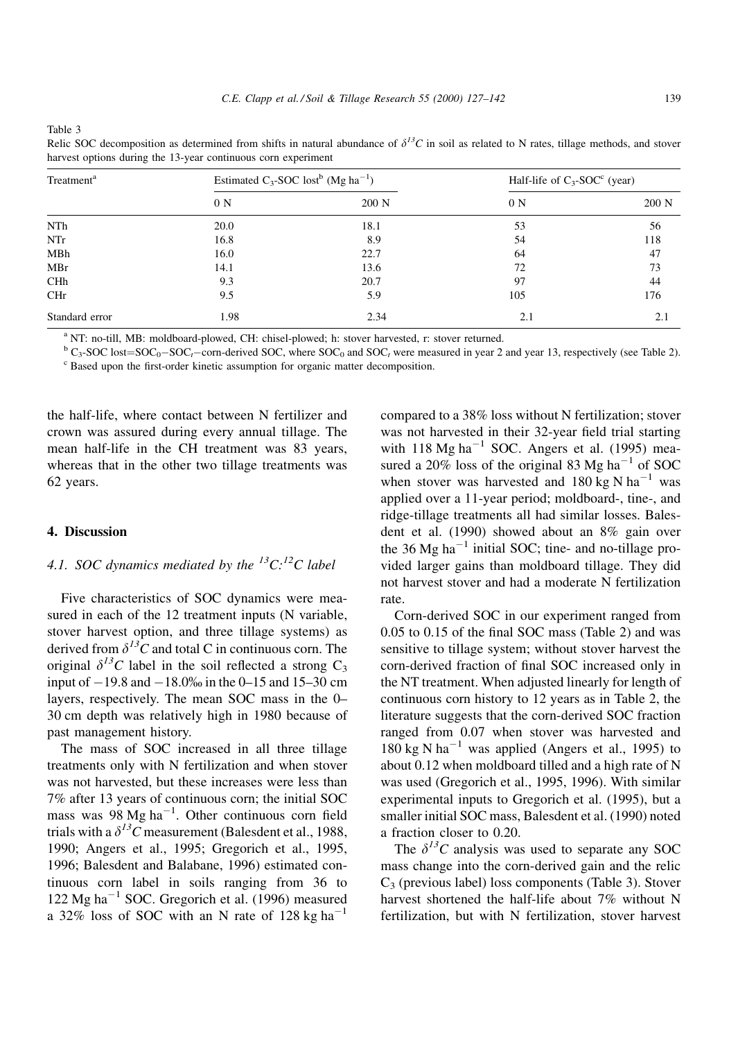Table 3

| Treatment <sup>a</sup> | Estimated C <sub>3</sub> -SOC lost <sup>b</sup> (Mg ha <sup>-1</sup> ) |       | Half-life of $C_3$ -SOC <sup>c</sup> (year) |       |
|------------------------|------------------------------------------------------------------------|-------|---------------------------------------------|-------|
|                        | 0 N                                                                    | 200 N | 0 N                                         | 200 N |
| NTh                    | 20.0                                                                   | 18.1  | 53                                          | 56    |
| NTr                    | 16.8                                                                   | 8.9   | 54                                          | 118   |
| MBh                    | 16.0                                                                   | 22.7  | 64                                          | 47    |
| MBr                    | 14.1                                                                   | 13.6  | 72                                          | 73    |
| CHh                    | 9.3                                                                    | 20.7  | 97                                          | 44    |
| CHr                    | 9.5                                                                    | 5.9   | 105                                         | 176   |
| Standard error         | 1.98                                                                   | 2.34  | 2.1                                         | 2.1   |

Relic SOC decomposition as determined from shifts in natural abundance of  $\delta^{13}C$  in soil as related to N rates, tillage methods, and stover harvest options during the 13-year continuous corn experiment

<sup>a</sup> NT: no-till, MB: moldboard-plowed, CH: chisel-plowed; h: stover harvested, r: stover returned.

 $b_{C_3}$ -SOC lost=SOC<sub>0</sub>–SOC<sub>t</sub>—corn-derived SOC, where SOC<sub>0</sub> and SOC<sub>t</sub> were measured in year 2 and year 13, respectively (see Table 2). <sup>c</sup> Based upon the first-order kinetic assumption for organic matter decomposition

the half-life, where contact between N fertilizer and crown was assured during every annual tillage. The mean half-life in the CH treatment was 83 years, whereas that in the other two tillage treatments was 62 years.

# 4. Discussion

# 4.1. SOC dynamics mediated by the  ${}^{13}C:{}^{12}C$  label

Five characteristics of SOC dynamics were measured in each of the 12 treatment inputs (N variable, stover harvest option, and three tillage systems) as derived from  $\delta^{13}\overline{C}$  and total C in continuous corn. The original  $\delta^{13}C$  label in the soil reflected a strong C<sub>3</sub> input of  $-19.8$  and  $-18.0\%$  in the 0-15 and 15-30 cm layers, respectively. The mean SOC mass in the 0-30 cm depth was relatively high in 1980 because of past management history.

The mass of SOC increased in all three tillage treatments only with N fertilization and when stover was not harvested, but these increases were less than 7% after 13 years of continuous corn; the initial SOC mass was  $98 \text{ Mg ha}^{-1}$ . Other continuous corn field trials with a  $\delta^{13}$ C measurement (Balesdent et al., 1988, 1990; Angers et al., 1995; Gregorich et al., 1995, 1996; Balesdent and Balabane, 1996) estimated continuous corn label in soils ranging from 36 to 122 Mg ha<sup> $-1$ </sup> SOC. Gregorich et al. (1996) measured a 32% loss of SOC with an N rate of 128 kg ha<sup>-1</sup>

compared to a 38% loss without N fertilization; stover was not harvested in their 32-year field trial starting with  $118 \text{ Mg ha}^{-1}$  SOC. Angers et al. (1995) measured a 20% loss of the original 83 Mg ha<sup>-1</sup> of SOC when stover was harvested and 180 kg N ha<sup>-1</sup> was applied over a 11-year period; moldboard-, tine-, and ridge-tillage treatments all had similar losses. Balesdent et al. (1990) showed about an 8% gain over the 36 Mg ha<sup> $-1$ </sup> initial SOC; tine- and no-tillage provided larger gains than moldboard tillage. They did not harvest stover and had a moderate N fertilization rate.

Corn-derived SOC in our experiment ranged from  $0.05$  to  $0.15$  of the final SOC mass (Table 2) and was sensitive to tillage system; without stover harvest the corn-derived fraction of final SOC increased only in the NT treatment. When adjusted linearly for length of continuous corn history to 12 years as in Table 2, the literature suggests that the corn-derived SOC fraction ranged from 0.07 when stover was harvested and  $180 \text{ kg N} \text{ ha}^{-1}$  was applied (Angers et al., 1995) to about 0.12 when moldboard tilled and a high rate of N was used (Gregorich et al., 1995, 1996). With similar experimental inputs to Gregorich et al. (1995), but a smaller initial SOC mass, Balesdent et al. (1990) noted a fraction closer to 0.20.

The  $\delta^{13}C$  analysis was used to separate any SOC mass change into the corn-derived gain and the relic  $C_3$  (previous label) loss components (Table 3). Stover harvest shortened the half-life about 7% without N fertilization, but with N fertilization, stover harvest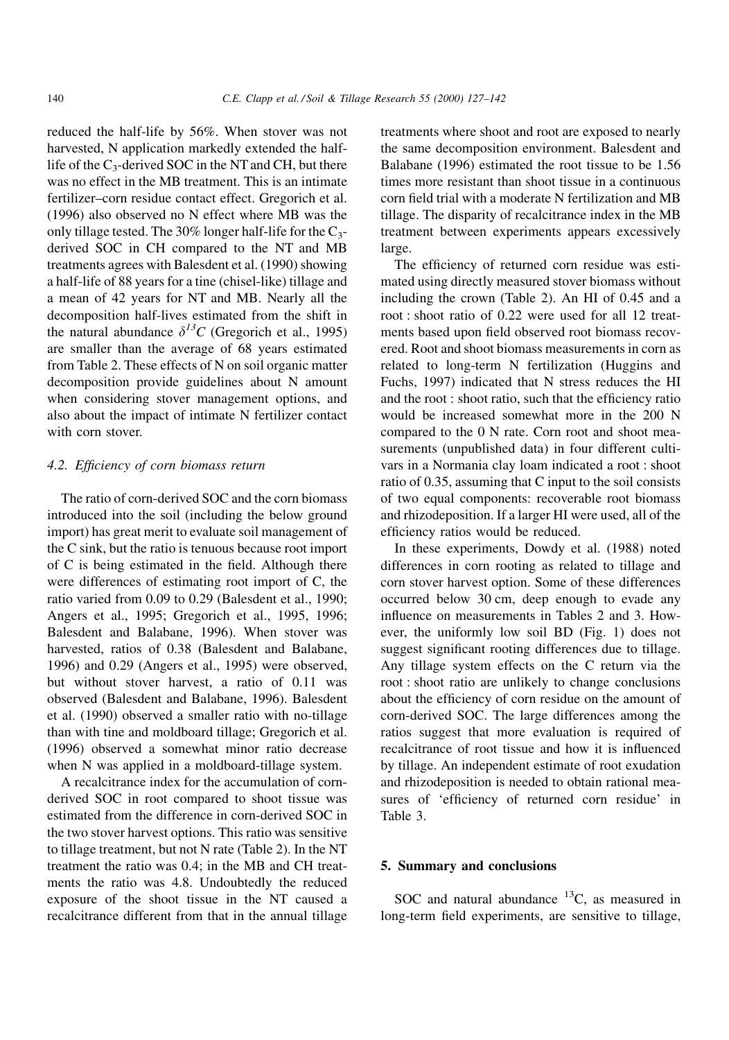reduced the half-life by 56%. When stover was not harvested, N application markedly extended the halflife of the  $C_3$ -derived SOC in the NT and CH, but there was no effect in the MB treatment. This is an intimate fertilizer-corn residue contact effect. Gregorich et al. (1996) also observed no N effect where MB was the only tillage tested. The 30% longer half-life for the  $C_3$ derived SOC in CH compared to the NT and MB treatments agrees with Balesdent et al. (1990) showing a half-life of 88 years for a tine (chisel-like) tillage and a mean of 42 years for NT and MB. Nearly all the decomposition half-lives estimated from the shift in the natural abundance  $\delta^{13}C$  (Gregorich et al., 1995) are smaller than the average of 68 years estimated from Table 2. These effects of N on soil organic matter decomposition provide guidelines about N amount when considering stover management options, and also about the impact of intimate N fertilizer contact with corn stover.

### 4.2. Efficiency of corn biomass return

The ratio of corn-derived SOC and the corn biomass introduced into the soil (including the below ground import) has great merit to evaluate soil management of the C sink, but the ratio is tenuous because root import of  $C$  is being estimated in the field. Although there were differences of estimating root import of C, the ratio varied from 0.09 to 0.29 (Balesdent et al., 1990; Angers et al., 1995; Gregorich et al., 1995, 1996; Balesdent and Balabane, 1996). When stover was harvested, ratios of 0.38 (Balesdent and Balabane, 1996) and 0.29 (Angers et al., 1995) were observed, but without stover harvest, a ratio of 0.11 was observed (Balesdent and Balabane, 1996). Balesdent et al. (1990) observed a smaller ratio with no-tillage than with tine and moldboard tillage; Gregorich et al. (1996) observed a somewhat minor ratio decrease when N was applied in a moldboard-tillage system.

A recalcitrance index for the accumulation of cornderived SOC in root compared to shoot tissue was estimated from the difference in corn-derived SOC in the two stover harvest options. This ratio was sensitive to tillage treatment, but not N rate (Table 2). In the NT treatment the ratio was 0.4; in the MB and CH treatments the ratio was 4.8. Undoubtedly the reduced exposure of the shoot tissue in the NT caused a recalcitrance different from that in the annual tillage

treatments where shoot and root are exposed to nearly the same decomposition environment. Balesdent and Balabane (1996) estimated the root tissue to be 1.56 times more resistant than shoot tissue in a continuous corn field trial with a moderate N fertilization and MB tillage. The disparity of recalcitrance index in the MB treatment between experiments appears excessively large.

The efficiency of returned corn residue was estimated using directly measured stover biomass without including the crown (Table 2). An HI of 0.45 and a root : shoot ratio of 0.22 were used for all 12 treatments based upon field observed root biomass recovered. Root and shoot biomass measurements in corn as related to long-term N fertilization (Huggins and Fuchs, 1997) indicated that N stress reduces the HI and the root : shoot ratio, such that the efficiency ratio would be increased somewhat more in the 200 N compared to the 0 N rate. Corn root and shoot measurements (unpublished data) in four different cultivars in a Normania clay loam indicated a root : shoot ratio of 0.35, assuming that C input to the soil consists of two equal components: recoverable root biomass and rhizodeposition. If a larger HI were used, all of the efficiency ratios would be reduced.

In these experiments, Dowdy et al. (1988) noted differences in corn rooting as related to tillage and corn stover harvest option. Some of these differences occurred below 30 cm, deep enough to evade any influence on measurements in Tables 2 and 3. However, the uniformly low soil BD (Fig. 1) does not suggest significant rooting differences due to tillage. Any tillage system effects on the C return via the root : shoot ratio are unlikely to change conclusions about the efficiency of corn residue on the amount of corn-derived SOC. The large differences among the ratios suggest that more evaluation is required of recalcitrance of root tissue and how it is influenced by tillage. An independent estimate of root exudation and rhizodeposition is needed to obtain rational measures of 'efficiency of returned corn residue' in Table 3.

### 5. Summary and conclusions

SOC and natural abundance <sup>13</sup>C, as measured in long-term field experiments, are sensitive to tillage,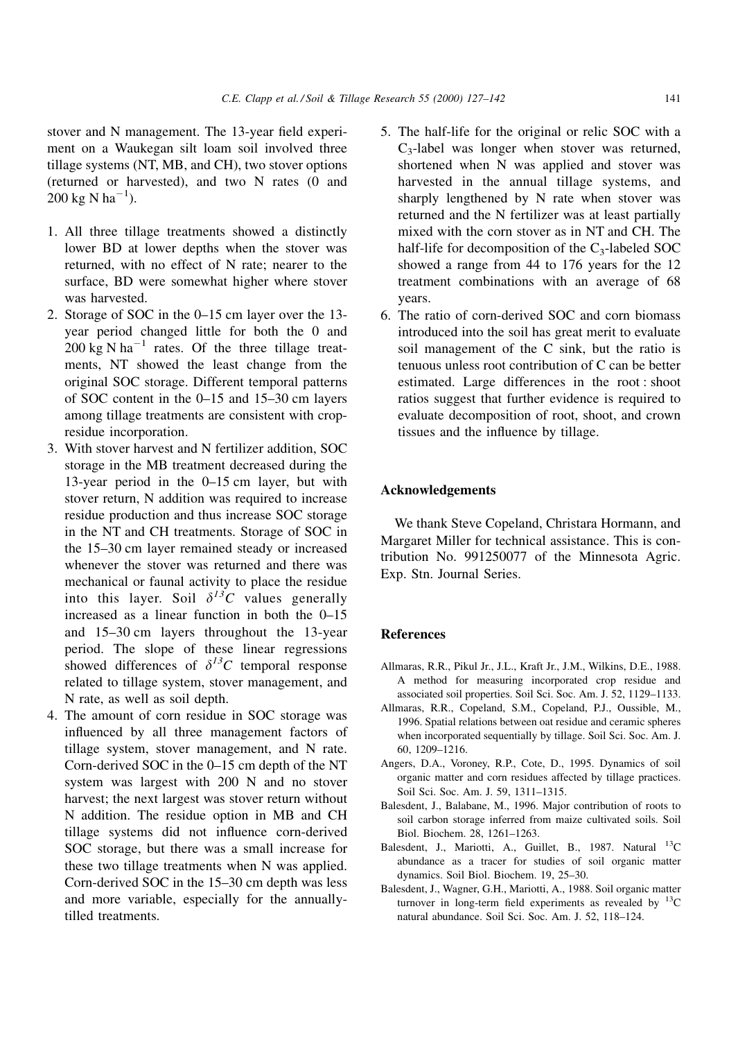stover and N management. The 13-year field experiment on a Waukegan silt loam soil involved three tillage systems (NT, MB, and CH), two stover options (returned or harvested), and two N rates (0 and  $200 \text{ kg N} \text{ ha}^{-1}$ ).

- 1. All three tillage treatments showed a distinctly lower BD at lower depths when the stover was returned, with no effect of N rate; nearer to the surface, BD were somewhat higher where stover was harvested.
- 2. Storage of SOC in the  $0-15$  cm layer over the 13year period changed little for both the 0 and  $200 \text{ kg N} \text{ ha}^{-1}$  rates. Of the three tillage treatments, NT showed the least change from the original SOC storage. Different temporal patterns of SOC content in the  $0-15$  and  $15-30$  cm layers among tillage treatments are consistent with cropresidue incorporation.
- 3. With stover harvest and N fertilizer addition, SOC storage in the MB treatment decreased during the 13-year period in the  $0-15$  cm layer, but with stover return, N addition was required to increase residue production and thus increase SOC storage in the NT and CH treatments. Storage of SOC in the 15–30 cm layer remained steady or increased whenever the stover was returned and there was mechanical or faunal activity to place the residue into this layer. Soil  $\delta^{13}C$  values generally increased as a linear function in both the  $0-15$ and 15-30 cm layers throughout the 13-year period. The slope of these linear regressions showed differences of  $\delta^{13}C$  temporal response related to tillage system, stover management, and N rate, as well as soil depth.
- 4. The amount of corn residue in SOC storage was influenced by all three management factors of tillage system, stover management, and N rate. Corn-derived SOC in the  $0-15$  cm depth of the NT system was largest with 200 N and no stover harvest; the next largest was stover return without N addition. The residue option in MB and CH tillage systems did not influence corn-derived SOC storage, but there was a small increase for these two tillage treatments when N was applied. Corn-derived SOC in the  $15-30$  cm depth was less and more variable, especially for the annuallytilled treatments.
- 5. The half-life for the original or relic SOC with a  $C_3$ -label was longer when stover was returned, shortened when N was applied and stover was harvested in the annual tillage systems, and sharply lengthened by N rate when stover was returned and the N fertilizer was at least partially mixed with the corn stover as in NT and CH. The half-life for decomposition of the  $C_3$ -labeled SOC showed a range from 44 to 176 years for the 12 treatment combinations with an average of 68 years.
- 6. The ratio of corn-derived SOC and corn biomass introduced into the soil has great merit to evaluate soil management of the C sink, but the ratio is tenuous unless root contribution of C can be better estimated. Large differences in the root : shoot ratios suggest that further evidence is required to evaluate decomposition of root, shoot, and crown tissues and the influence by tillage.

### Acknowledgements

We thank Steve Copeland, Christara Hormann, and Margaret Miller for technical assistance. This is contribution No. 991250077 of the Minnesota Agric. Exp. Stn. Journal Series.

### References

- Allmaras, R.R., Pikul Jr., J.L., Kraft Jr., J.M., Wilkins, D.E., 1988. A method for measuring incorporated crop residue and associated soil properties. Soil Sci. Soc. Am. J. 52, 1129-1133.
- Allmaras, R.R., Copeland, S.M., Copeland, P.J., Oussible, M., 1996. Spatial relations between oat residue and ceramic spheres when incorporated sequentially by tillage. Soil Sci. Soc. Am. J. 60, 1209±1216.
- Angers, D.A., Voroney, R.P., Cote, D., 1995. Dynamics of soil organic matter and corn residues affected by tillage practices. Soil Sci. Soc. Am. J. 59, 1311-1315.
- Balesdent, J., Balabane, M., 1996. Major contribution of roots to soil carbon storage inferred from maize cultivated soils. Soil Biol. Biochem. 28, 1261-1263.
- Balesdent, J., Mariotti, A., Guillet, B., 1987. Natural <sup>13</sup>C abundance as a tracer for studies of soil organic matter dynamics. Soil Biol. Biochem. 19, 25-30.
- Balesdent, J., Wagner, G.H., Mariotti, A., 1988. Soil organic matter turnover in long-term field experiments as revealed by  $^{13}$ C natural abundance. Soil Sci. Soc. Am. J. 52, 118-124.